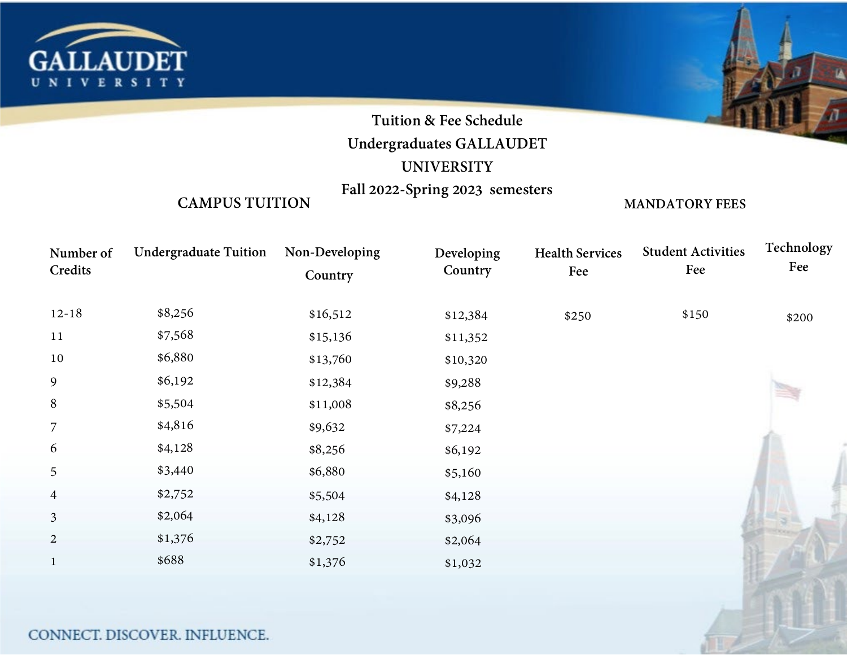

# **Tuition & Fee Schedule**

## **Undergraduates GALLAUDET**

### **UNIVERSITY**

## **Fall 2022-Spring 2023 semesters**

#### **CAMPUS TUITION**

**MANDATORY FEES**

| Number of<br>Credits | <b>Undergraduate Tuition</b> | Non-Developing<br>Country | Developing<br>Country | <b>Health Services</b><br>Fee | <b>Student Activities</b><br>Fee | <b>Technology</b><br>Fee |
|----------------------|------------------------------|---------------------------|-----------------------|-------------------------------|----------------------------------|--------------------------|
|                      |                              |                           |                       |                               |                                  |                          |
| $12 - 18$            | \$8,256                      | \$16,512                  | \$12,384              | \$250                         | \$150                            | \$200                    |
| 11                   | \$7,568                      | \$15,136                  | \$11,352              |                               |                                  |                          |
| 10                   | \$6,880                      | \$13,760                  | \$10,320              |                               |                                  |                          |
| 9                    | \$6,192                      | \$12,384                  | \$9,288               |                               |                                  |                          |
| $\, 8$               | \$5,504                      | \$11,008                  | \$8,256               |                               |                                  |                          |
| 7                    | \$4,816                      | \$9,632                   | \$7,224               |                               |                                  |                          |
| 6                    | \$4,128                      | \$8,256                   | \$6,192               |                               |                                  |                          |
| 5                    | \$3,440                      | \$6,880                   | \$5,160               |                               |                                  |                          |
| $\overline{4}$       | \$2,752                      | \$5,504                   | \$4,128               |                               |                                  |                          |
| $\overline{3}$       | \$2,064                      | \$4,128                   | \$3,096               |                               |                                  |                          |
| $\overline{2}$       | \$1,376                      | \$2,752                   | \$2,064               |                               |                                  |                          |
| $\mathbf{1}$         | \$688                        | \$1,376                   | \$1,032               |                               |                                  |                          |
|                      |                              |                           |                       |                               |                                  |                          |

#### CONNECT. DISCOVER. INFLUENCE.